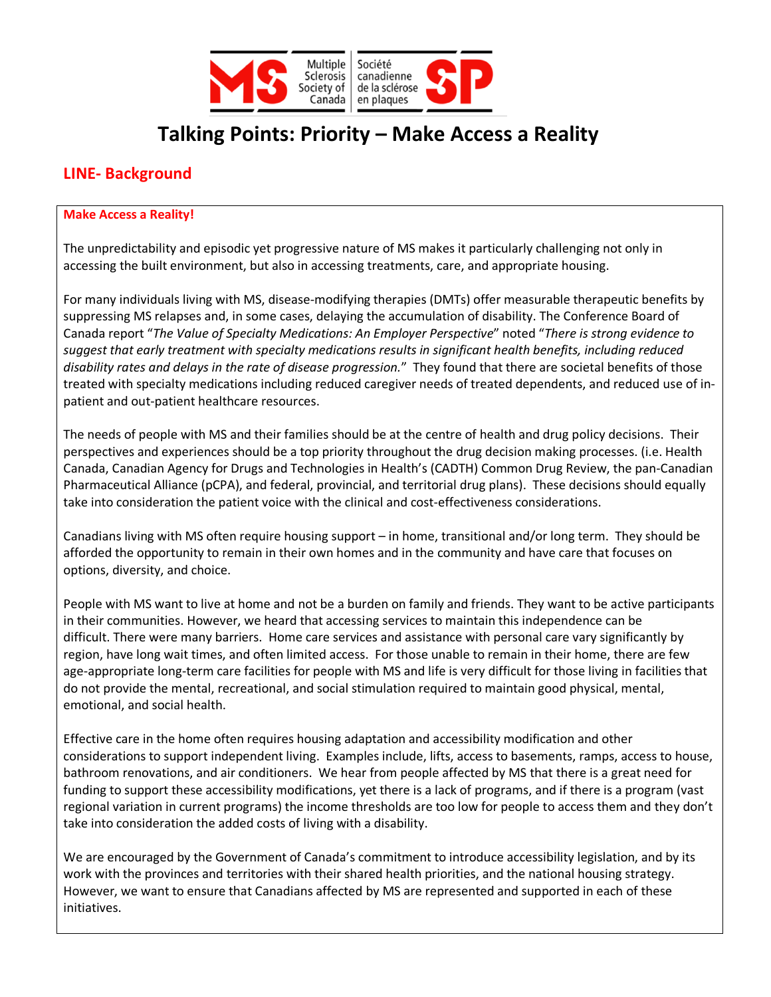

# **Talking Points: Priority – Make Access a Reality**

## **LINE- Background**

#### **Make Access a Reality!**

The unpredictability and episodic yet progressive nature of MS makes it particularly challenging not only in accessing the built environment, but also in accessing treatments, care, and appropriate housing.

For many individuals living with MS, disease-modifying therapies (DMTs) offer measurable therapeutic benefits by suppressing MS relapses and, in some cases, delaying the accumulation of disability. The Conference Board of Canada report "*The Value of Specialty Medications: An Employer Perspective*" noted "*There is strong evidence to suggest that early treatment with specialty medications results in significant health benefits, including reduced disability rates and delays in the rate of disease progression.*" They found that there are societal benefits of those treated with specialty medications including reduced caregiver needs of treated dependents, and reduced use of inpatient and out-patient healthcare resources.

The needs of people with MS and their families should be at the centre of health and drug policy decisions. Their perspectives and experiences should be a top priority throughout the drug decision making processes. (i.e. Health Canada, Canadian Agency for Drugs and Technologies in Health's (CADTH) Common Drug Review, the pan-Canadian Pharmaceutical Alliance (pCPA), and federal, provincial, and territorial drug plans). These decisions should equally take into consideration the patient voice with the clinical and cost-effectiveness considerations.

Canadians living with MS often require housing support – in home, transitional and/or long term. They should be afforded the opportunity to remain in their own homes and in the community and have care that focuses on options, diversity, and choice.

People with MS want to live at home and not be a burden on family and friends. They want to be active participants in their communities. However, we heard that accessing services to maintain this independence can be difficult. There were many barriers. Home care services and assistance with personal care vary significantly by region, have long wait times, and often limited access. For those unable to remain in their home, there are few age-appropriate long-term care facilities for people with MS and life is very difficult for those living in facilities that do not provide the mental, recreational, and social stimulation required to maintain good physical, mental, emotional, and social health.

Effective care in the home often requires housing adaptation and accessibility modification and other considerations to support independent living. Examples include, lifts, access to basements, ramps, access to house, bathroom renovations, and air conditioners. We hear from people affected by MS that there is a great need for funding to support these accessibility modifications, yet there is a lack of programs, and if there is a program (vast regional variation in current programs) the income thresholds are too low for people to access them and they don't take into consideration the added costs of living with a disability.

We are encouraged by the Government of Canada's commitment to introduce accessibility legislation, and by its work with the provinces and territories with their shared health priorities, and the national housing strategy. However, we want to ensure that Canadians affected by MS are represented and supported in each of these initiatives.